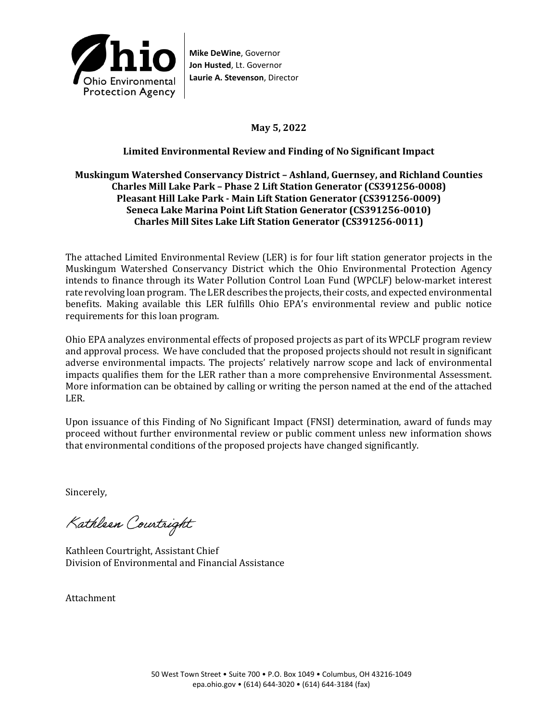

**Mike DeWine**, Governor **Jon Husted**, Lt. Governor **Laurie A. Stevenson**, Director

**May 5, 2022** 

### **Limited Environmental Review and Finding of No Significant Impact**

### **Muskingum Watershed Conservancy District – Ashland, Guernsey, and Richland Counties Charles Mill Lake Park – Phase 2 Lift Station Generator (CS391256-0008) Pleasant Hill Lake Park - Main Lift Station Generator (CS391256-0009) Seneca Lake Marina Point Lift Station Generator (CS391256-0010) Charles Mill Sites Lake Lift Station Generator (CS391256-0011)**

The attached Limited Environmental Review (LER) is for four lift station generator projects in the Muskingum Watershed Conservancy District which the Ohio Environmental Protection Agency intends to finance through its Water Pollution Control Loan Fund (WPCLF) below-market interest rate revolving loan program. The LER describes the projects, their costs, and expected environmental benefits. Making available this LER fulfills Ohio EPA's environmental review and public notice requirements for this loan program.

Ohio EPA analyzes environmental effects of proposed projects as part of its WPCLF program review and approval process. We have concluded that the proposed projects should not result in significant adverse environmental impacts. The projects' relatively narrow scope and lack of environmental impacts qualifies them for the LER rather than a more comprehensive Environmental Assessment. More information can be obtained by calling or writing the person named at the end of the attached LER.

Upon issuance of this Finding of No Significant Impact (FNSI) determination, award of funds may proceed without further environmental review or public comment unless new information shows that environmental conditions of the proposed projects have changed significantly.

Sincerely,

Kathleen Courtright

Kathleen Courtright, Assistant Chief Division of Environmental and Financial Assistance

Attachment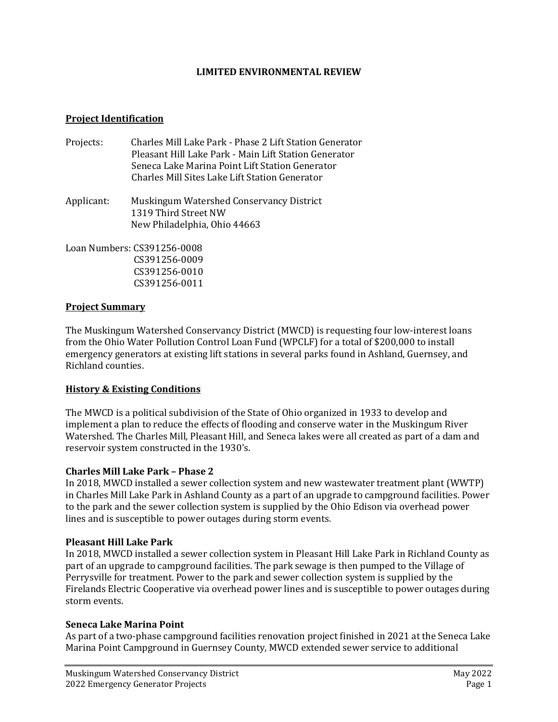#### **LIMITED ENVIRONMENTAL REVIEW**

#### **Project Identification**

- Projects: Charles Mill Lake Park Phase 2 Lift Station Generator Pleasant Hill Lake Park - Main Lift Station Generator Seneca Lake Marina Point Lift Station Generator Charles Mill Sites Lake Lift Station Generator
- Applicant: Muskingum Watershed Conservancy District 1319 Third Street NW New Philadelphia, Ohio 44663

Loan Numbers: CS391256-0008 CS391256-0009 CS391256-0010 CS391256-0011

#### **Project Summary**

The Muskingum Watershed Conservancy District (MWCD) is requesting four low-interest loans from the Ohio Water Pollution Control Loan Fund (WPCLF) for a total of \$200,000 to install emergency generators at existing lift stations in several parks found in Ashland, Guernsey, and Richland counties.

### **History & Existing Conditions**

The MWCD is a political subdivision of the State of Ohio organized in 1933 to develop and implement a plan to reduce the effects of flooding and conserve water in the Muskingum River Watershed. The Charles Mill, Pleasant Hill, and Seneca lakes were all created as part of a dam and reservoir system constructed in the 1930's.

### **Charles Mill Lake Park – Phase 2**

In 2018, MWCD installed a sewer collection system and new wastewater treatment plant (WWTP) in Charles Mill Lake Park in Ashland County as a part of an upgrade to campground facilities. Power to the park and the sewer collection system is supplied by the Ohio Edison via overhead power lines and is susceptible to power outages during storm events.

#### **Pleasant Hill Lake Park**

In 2018, MWCD installed a sewer collection system in Pleasant Hill Lake Park in Richland County as part of an upgrade to campground facilities. The park sewage is then pumped to the Village of Perrysville for treatment. Power to the park and sewer collection system is supplied by the Firelands Electric Cooperative via overhead power lines and is susceptible to power outages during storm events.

#### **Seneca Lake Marina Point**

As part of a two-phase campground facilities renovation project finished in 2021 at the Seneca Lake Marina Point Campground in Guernsey County, MWCD extended sewer service to additional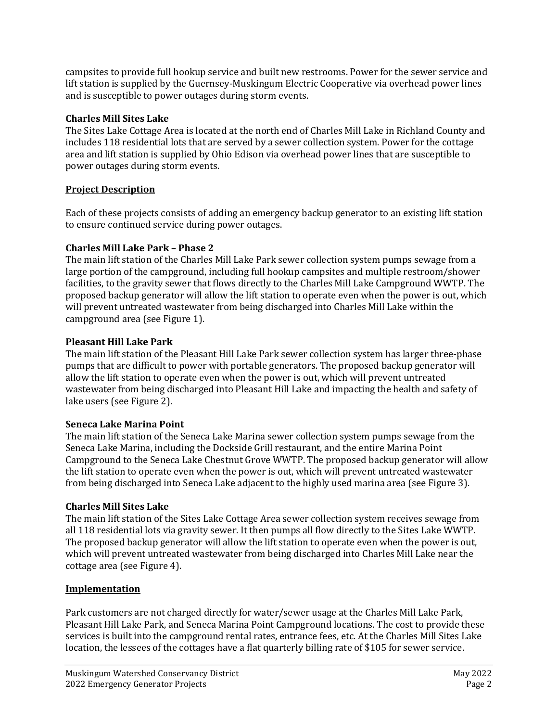campsites to provide full hookup service and built new restrooms. Power for the sewer service and lift station is supplied by the Guernsey-Muskingum Electric Cooperative via overhead power lines and is susceptible to power outages during storm events.

### **Charles Mill Sites Lake**

The Sites Lake Cottage Area is located at the north end of Charles Mill Lake in Richland County and includes 118 residential lots that are served by a sewer collection system. Power for the cottage area and lift station is supplied by Ohio Edison via overhead power lines that are susceptible to power outages during storm events.

# **Project Description**

Each of these projects consists of adding an emergency backup generator to an existing lift station to ensure continued service during power outages.

# **Charles Mill Lake Park – Phase 2**

The main lift station of the Charles Mill Lake Park sewer collection system pumps sewage from a large portion of the campground, including full hookup campsites and multiple restroom/shower facilities, to the gravity sewer that flows directly to the Charles Mill Lake Campground WWTP. The proposed backup generator will allow the lift station to operate even when the power is out, which will prevent untreated wastewater from being discharged into Charles Mill Lake within the campground area (see Figure 1).

# **Pleasant Hill Lake Park**

The main lift station of the Pleasant Hill Lake Park sewer collection system has larger three-phase pumps that are difficult to power with portable generators. The proposed backup generator will allow the lift station to operate even when the power is out, which will prevent untreated wastewater from being discharged into Pleasant Hill Lake and impacting the health and safety of lake users (see Figure 2).

# **Seneca Lake Marina Point**

The main lift station of the Seneca Lake Marina sewer collection system pumps sewage from the Seneca Lake Marina, including the Dockside Grill restaurant, and the entire Marina Point Campground to the Seneca Lake Chestnut Grove WWTP. The proposed backup generator will allow the lift station to operate even when the power is out, which will prevent untreated wastewater from being discharged into Seneca Lake adjacent to the highly used marina area (see Figure 3).

# **Charles Mill Sites Lake**

The main lift station of the Sites Lake Cottage Area sewer collection system receives sewage from all 118 residential lots via gravity sewer. It then pumps all flow directly to the Sites Lake WWTP. The proposed backup generator will allow the lift station to operate even when the power is out, which will prevent untreated wastewater from being discharged into Charles Mill Lake near the cottage area (see Figure 4).

# **Implementation**

Park customers are not charged directly for water/sewer usage at the Charles Mill Lake Park, Pleasant Hill Lake Park, and Seneca Marina Point Campground locations. The cost to provide these services is built into the campground rental rates, entrance fees, etc. At the Charles Mill Sites Lake location, the lessees of the cottages have a flat quarterly billing rate of \$105 for sewer service.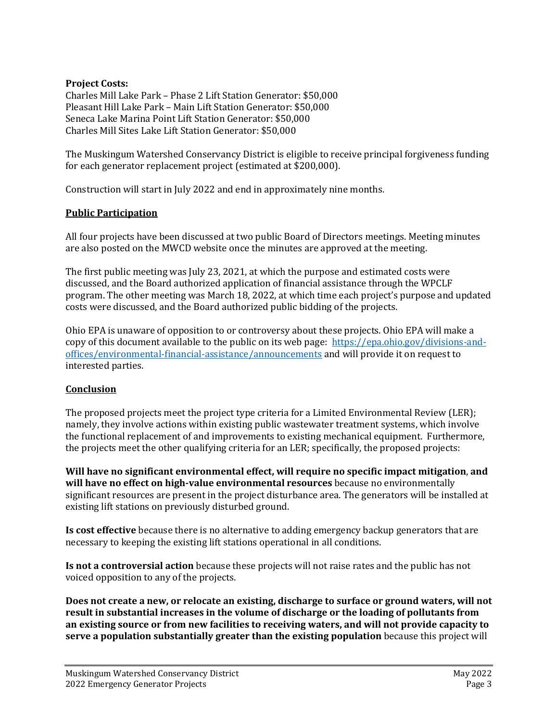### **Project Costs:**

Charles Mill Lake Park – Phase 2 Lift Station Generator: \$50,000 Pleasant Hill Lake Park – Main Lift Station Generator: \$50,000 Seneca Lake Marina Point Lift Station Generator: \$50,000 Charles Mill Sites Lake Lift Station Generator: \$50,000

The Muskingum Watershed Conservancy District is eligible to receive principal forgiveness funding for each generator replacement project (estimated at \$200,000).

Construction will start in July 2022 and end in approximately nine months.

### **Public Participation**

All four projects have been discussed at two public Board of Directors meetings. Meeting minutes are also posted on the MWCD website once the minutes are approved at the meeting.

The first public meeting was July 23, 2021, at which the purpose and estimated costs were discussed, and the Board authorized application of financial assistance through the WPCLF program. The other meeting was March 18, 2022, at which time each project's purpose and updated costs were discussed, and the Board authorized public bidding of the projects.

Ohio EPA is unaware of opposition to or controversy about these projects. Ohio EPA will make a copy of this document available to the public on its web page: [https://epa.ohio.gov/divisions-and](https://epa.ohio.gov/divisions-and-offices/environmental-financial-assistance/announcements)[offices/environmental-financial-assistance/announcements](https://epa.ohio.gov/divisions-and-offices/environmental-financial-assistance/announcements) and will provide it on request to interested parties.

### **Conclusion**

The proposed projects meet the project type criteria for a Limited Environmental Review (LER); namely, they involve actions within existing public wastewater treatment systems, which involve the functional replacement of and improvements to existing mechanical equipment. Furthermore, the projects meet the other qualifying criteria for an LER; specifically, the proposed projects:

**Will have no significant environmental effect, will require no specific impact mitigation**, **and will have no effect on high-value environmental resources** because no environmentally significant resources are present in the project disturbance area. The generators will be installed at existing lift stations on previously disturbed ground.

**Is cost effective** because there is no alternative to adding emergency backup generators that are necessary to keeping the existing lift stations operational in all conditions.

**Is not a controversial action** because these projects will not raise rates and the public has not voiced opposition to any of the projects.

**Does not create a new, or relocate an existing, discharge to surface or ground waters, will not result in substantial increases in the volume of discharge or the loading of pollutants from an existing source or from new facilities to receiving waters, and will not provide capacity to serve a population substantially greater than the existing population** because this project will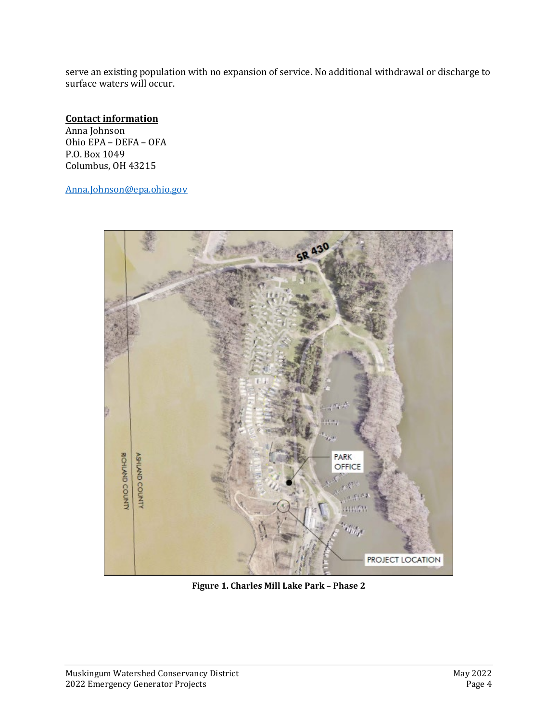serve an existing population with no expansion of service. No additional withdrawal or discharge to surface waters will occur.

# **Contact information**

Anna Johnson Ohio EPA – DEFA – OFA P.O. Box 1049 Columbus, OH 43215

[Anna.Johnson@epa.ohio.gov](mailto:Anna.Johnson@epa.ohio.gov)



**Figure 1. Charles Mill Lake Park – Phase 2**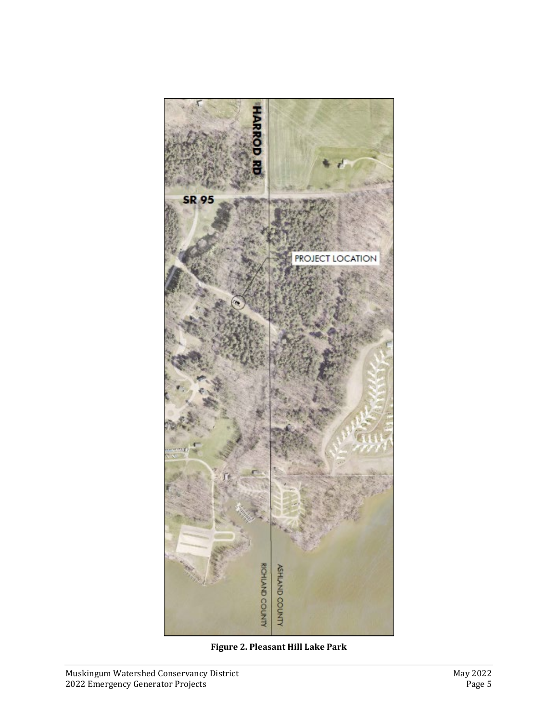

**Figure 2. Pleasant Hill Lake Park**